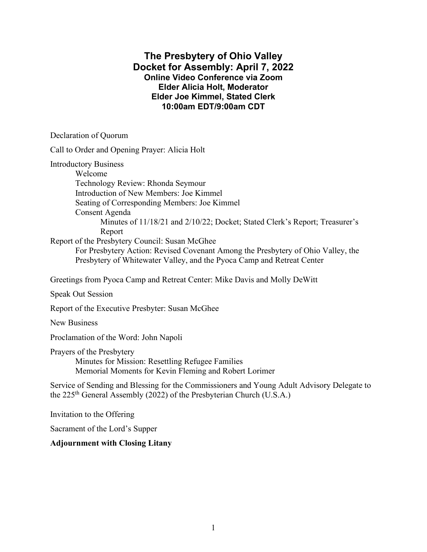## **The Presbytery of Ohio Valley Docket for Assembly: April 7, 2022 Online Video Conference via Zoom Elder Alicia Holt, Moderator Elder Joe Kimmel, Stated Clerk 10:00am EDT/9:00am CDT**

Declaration of Quorum

Call to Order and Opening Prayer: Alicia Holt

Introductory Business

Welcome Technology Review: Rhonda Seymour Introduction of New Members: Joe Kimmel Seating of Corresponding Members: Joe Kimmel Consent Agenda Minutes of 11/18/21 and 2/10/22; Docket; Stated Clerk's Report; Treasurer's Report

Report of the Presbytery Council: Susan McGhee

For Presbytery Action: Revised Covenant Among the Presbytery of Ohio Valley, the Presbytery of Whitewater Valley, and the Pyoca Camp and Retreat Center

Greetings from Pyoca Camp and Retreat Center: Mike Davis and Molly DeWitt

Speak Out Session

Report of the Executive Presbyter: Susan McGhee

New Business

Proclamation of the Word: John Napoli

Prayers of the Presbytery

Minutes for Mission: Resettling Refugee Families Memorial Moments for Kevin Fleming and Robert Lorimer

Service of Sending and Blessing for the Commissioners and Young Adult Advisory Delegate to the 225th General Assembly (2022) of the Presbyterian Church (U.S.A.)

Invitation to the Offering

Sacrament of the Lord's Supper

**Adjournment with Closing Litany**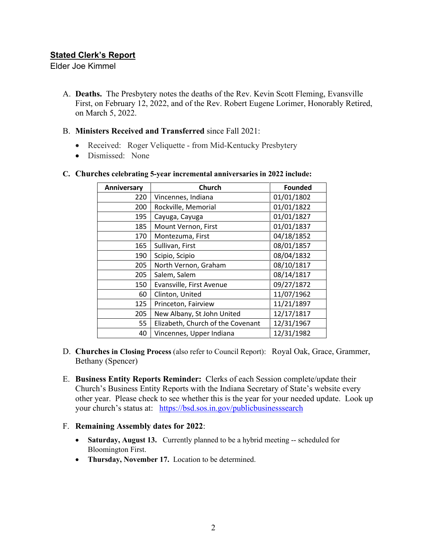## **Stated Clerk's Report**

Elder Joe Kimmel

- A. **Deaths.** The Presbytery notes the deaths of the Rev. Kevin Scott Fleming, Evansville First, on February 12, 2022, and of the Rev. Robert Eugene Lorimer, Honorably Retired, on March 5, 2022.
- B. **Ministers Received and Transferred** since Fall 2021:
	- Received: Roger Veliquette from Mid-Kentucky Presbytery
	- Dismissed: None

| Anniversary | Church                            | <b>Founded</b> |  |  |  |
|-------------|-----------------------------------|----------------|--|--|--|
| 220         | Vincennes, Indiana                |                |  |  |  |
| 200         | Rockville, Memorial               | 01/01/1822     |  |  |  |
| 195         | Cayuga, Cayuga                    | 01/01/1827     |  |  |  |
| 185         | Mount Vernon, First               | 01/01/1837     |  |  |  |
| 170         | Montezuma, First                  | 04/18/1852     |  |  |  |
| 165         | Sullivan, First                   | 08/01/1857     |  |  |  |
| 190         | Scipio, Scipio                    | 08/04/1832     |  |  |  |
| 205         | North Vernon, Graham              | 08/10/1817     |  |  |  |
| 205         | Salem, Salem                      | 08/14/1817     |  |  |  |
| 150         | Evansville, First Avenue          | 09/27/1872     |  |  |  |
| 60          | Clinton, United                   | 11/07/1962     |  |  |  |
| 125         | Princeton, Fairview               | 11/21/1897     |  |  |  |
| 205         | New Albany, St John United        | 12/17/1817     |  |  |  |
| 55          | Elizabeth, Church of the Covenant | 12/31/1967     |  |  |  |
| 40          | Vincennes, Upper Indiana          | 12/31/1982     |  |  |  |

#### **C. Churches celebrating 5-year incremental anniversaries in 2022 include:**

- D. **Churches in Closing Process** (also refer to Council Report): Royal Oak, Grace, Grammer, Bethany (Spencer)
- E. **Business Entity Reports Reminder:** Clerks of each Session complete/update their Church's Business Entity Reports with the Indiana Secretary of State's website every other year. Please check to see whether this is the year for your needed update. Look up your church's status at: <https://bsd.sos.in.gov/publicbusinesssearch>

## F. **Remaining Assembly dates for 2022**:

- **Saturday, August 13.** Currently planned to be a hybrid meeting -- scheduled for Bloomington First.
- **Thursday, November 17.** Location to be determined.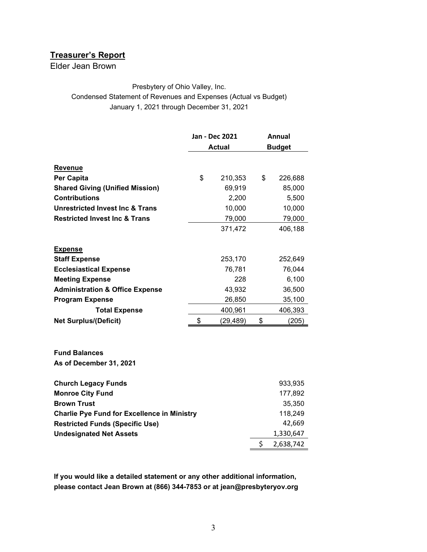# **Treasurer's Report**

Elder Jean Brown

#### Presbytery of Ohio Valley, Inc.

Condensed Statement of Revenues and Expenses (Actual vs Budget) January 1, 2021 through December 31, 2021

|                                                    | Jan - Dec 2021  | Annual          |
|----------------------------------------------------|-----------------|-----------------|
|                                                    | <b>Actual</b>   | <b>Budget</b>   |
| <b>Revenue</b>                                     |                 |                 |
| <b>Per Capita</b>                                  | \$<br>210,353   | \$<br>226,688   |
| <b>Shared Giving (Unified Mission)</b>             | 69,919          | 85,000          |
| <b>Contributions</b>                               | 2,200           | 5,500           |
| <b>Unrestricted Invest Inc &amp; Trans</b>         | 10,000          | 10,000          |
| <b>Restricted Invest Inc &amp; Trans</b>           | 79,000          | 79,000          |
|                                                    | 371,472         | 406,188         |
| <b>Expense</b>                                     |                 |                 |
| <b>Staff Expense</b>                               | 253,170         | 252,649         |
| <b>Ecclesiastical Expense</b>                      | 76,781          | 76,044          |
| <b>Meeting Expense</b>                             | 228             | 6,100           |
| <b>Administration &amp; Office Expense</b>         | 43,932          | 36,500          |
| <b>Program Expense</b>                             | 26,850          | 35,100          |
| <b>Total Expense</b>                               | 400,961         | 406,393         |
| <b>Net Surplus/(Deficit)</b>                       | \$<br>(29, 489) | \$<br>(205)     |
|                                                    |                 |                 |
| <b>Fund Balances</b>                               |                 |                 |
| As of December 31, 2021                            |                 |                 |
| <b>Church Legacy Funds</b>                         |                 | 933,935         |
| <b>Monroe City Fund</b>                            |                 | 177,892         |
| <b>Brown Trust</b>                                 |                 | 35,350          |
| <b>Charlie Pye Fund for Excellence in Ministry</b> |                 | 118,249         |
| <b>Restricted Funds (Specific Use)</b>             |                 | 42,669          |
| <b>Undesignated Net Assets</b>                     |                 | 1,330,647       |
|                                                    |                 | \$<br>2,638,742 |

**If you would like a detailed statement or any other additional information, please contact Jean Brown at (866) 344-7853 or at jean@presbyteryov.org**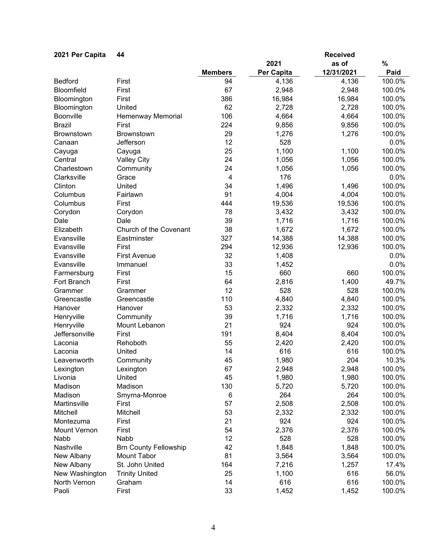| 2021 Per Capita     | 44                           |                |            | <b>Received</b> |        |
|---------------------|------------------------------|----------------|------------|-----------------|--------|
|                     |                              |                | 2021       | as of           | $\%$   |
|                     |                              | <b>Members</b> | Per Capita | 12/31/2021      | Paid   |
| <b>Bedford</b>      | First                        | 94             | 4,136      | 4,136           | 100.0% |
| Bloomfield          | First                        | 67             | 2,948      | 2,948           | 100.0% |
| Bloomington         | First                        | 386            | 16,984     | 16,984          | 100.0% |
| Bloomington         | United                       | 62             | 2,728      | 2,728           | 100.0% |
| Boonville           | Hemenway Memorial            | 106            | 4,664      | 4,664           | 100.0% |
| <b>Brazil</b>       | First                        | 224            | 9,856      | 9,856           | 100.0% |
| Brownstown          | Brownstown                   | 29             | 1,276      | 1,276           | 100.0% |
| Canaan              | Jefferson                    | 12             | 528        |                 | 0.0%   |
| Cayuga              | Cayuga                       | 25             | 1,100      | 1,100           | 100.0% |
| Central             | <b>Valley City</b>           | 24             | 1,056      | 1,056           | 100.0% |
| Charlestown         | Community                    | 24             | 1,056      | 1,056           | 100.0% |
| Clarksville         | Grace                        | $\overline{4}$ | 176        |                 | 0.0%   |
| Clinton             | United                       | 34             | 1,496      | 1,496           | 100.0% |
| Columbus            | Fairlawn                     | 91             | 4,004      | 4,004           | 100.0% |
| Columbus            | First                        | 444            | 19,536     | 19,536          | 100.0% |
| Corydon             | Corydon                      | 78             | 3,432      | 3,432           | 100.0% |
| Dale                | Dale                         | 39             | 1,716      | 1,716           | 100.0% |
| Elizabeth           | Church of the Covenant       | 38             | 1,672      |                 | 100.0% |
| Evansville          |                              | 327            |            | 1,672           | 100.0% |
| Evansville          | Eastminster                  | 294            | 14,388     | 14,388          | 100.0% |
|                     | First                        |                | 12,936     | 12,936          |        |
| Evansville          | <b>First Avenue</b>          | 32             | 1,408      |                 | 0.0%   |
| Evansville          | Immanuel                     | 33             | 1,452      |                 | 0.0%   |
| Farmersburg         | First                        | 15             | 660        | 660             | 100.0% |
| Fort Branch         | First                        | 64             | 2,816      | 1,400           | 49.7%  |
| Grammer             | Grammer                      | 12             | 528        | 528             | 100.0% |
| Greencastle         | Greencastle                  | 110            | 4,840      | 4,840           | 100.0% |
| Hanover             | Hanover                      | 53             | 2,332      | 2,332           | 100.0% |
| Henryville          | Community                    | 39             | 1,716      | 1,716           | 100.0% |
| Henryville          | Mount Lebanon                | 21             | 924        | 924             | 100.0% |
| Jeffersonville      | First                        | 191            | 8,404      | 8,404           | 100.0% |
| Laconia             | Rehoboth                     | 55             | 2,420      | 2,420           | 100.0% |
| Laconia             | United                       | 14             | 616        | 616             | 100.0% |
| Leavenworth         | Community                    | 45             | 1,980      | 204             | 10.3%  |
| Lexington           | Lexington                    | 67             | 2,948      | 2,948           | 100.0% |
| Livonia             | United                       | 45             | 1,980      | 1,980           | 100.0% |
| Madison             | Madison                      | 130            | 5,720      | 5,720           | 100.0% |
| Madison             | Smyrna-Monroe                | 6              | 264        | 264             | 100.0% |
| Martinsville        | First                        | 57             | 2,508      | 2,508           | 100.0% |
| Mitchell            | Mitchell                     | 53             | 2,332      | 2,332           | 100.0% |
| Montezuma           | First                        | 21             | 924        | 924             | 100.0% |
| <b>Mount Vernon</b> | First                        | 54             | 2,376      | 2,376           | 100.0% |
| Nabb                | Nabb                         | 12             | 528        | 528             | 100.0% |
| Nashville           | <b>Brn County Fellowship</b> | 42             | 1,848      | 1,848           | 100.0% |
| New Albany          | <b>Mount Tabor</b>           | 81             | 3,564      | 3,564           | 100.0% |
| New Albany          | St. John United              | 164            | 7,216      | 1,257           | 17.4%  |
| New Washington      | <b>Trinity United</b>        | 25             | 1,100      | 616             | 56.0%  |
| North Vernon        | Graham                       | 14             | 616        | 616             | 100.0% |
| Paoli               | First                        | 33             | 1,452      | 1,452           | 100.0% |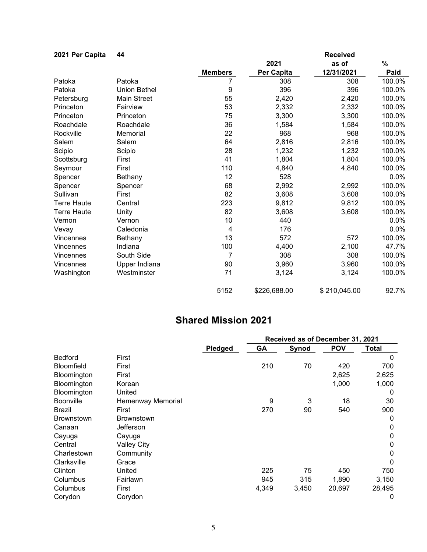| 2021 Per Capita    | 44                  |                |              | <b>Received</b> |        |
|--------------------|---------------------|----------------|--------------|-----------------|--------|
|                    |                     |                | 2021         | as of           | $\%$   |
|                    |                     | <b>Members</b> | Per Capita   | 12/31/2021      | Paid   |
| Patoka             | Patoka              |                | 308          | 308             | 100.0% |
| Patoka             | <b>Union Bethel</b> | 9              | 396          | 396             | 100.0% |
| Petersburg         | <b>Main Street</b>  | 55             | 2,420        | 2,420           | 100.0% |
| Princeton          | Fairview            | 53             | 2,332        | 2,332           | 100.0% |
| Princeton          | Princeton           | 75             | 3,300        | 3,300           | 100.0% |
| Roachdale          | Roachdale           | 36             | 1,584        | 1,584           | 100.0% |
| Rockville          | Memorial            | 22             | 968          | 968             | 100.0% |
| Salem              | Salem               | 64             | 2,816        | 2,816           | 100.0% |
| Scipio             | Scipio              | 28             | 1,232        | 1,232           | 100.0% |
| Scottsburg         | First               | 41             | 1,804        | 1,804           | 100.0% |
| Seymour            | First               | 110            | 4,840        | 4,840           | 100.0% |
| Spencer            | Bethany             | 12             | 528          |                 | 0.0%   |
| Spencer            | Spencer             | 68             | 2,992        | 2,992           | 100.0% |
| Sullivan           | First               | 82             | 3,608        | 3,608           | 100.0% |
| <b>Terre Haute</b> | Central             | 223            | 9,812        | 9,812           | 100.0% |
| <b>Terre Haute</b> | Unity               | 82             | 3,608        | 3,608           | 100.0% |
| Vernon             | Vernon              | 10             | 440          |                 | 0.0%   |
| Vevay              | Caledonia           | 4              | 176          |                 | 0.0%   |
| Vincennes          | Bethany             | 13             | 572          | 572             | 100.0% |
| Vincennes          | Indiana             | 100            | 4,400        | 2,100           | 47.7%  |
| Vincennes          | South Side          | 7              | 308          | 308             | 100.0% |
| Vincennes          | Upper Indiana       | 90             | 3,960        | 3,960           | 100.0% |
| Washington         | Westminster         | 71             | 3,124        | 3,124           | 100.0% |
|                    |                     | 5152           | \$226,688.00 | \$210,045.00    | 92.7%  |

# **Shared Mission 2021**

|                   |                    |         |       | Received as of December 31, 2021 |            |              |
|-------------------|--------------------|---------|-------|----------------------------------|------------|--------------|
|                   |                    | Pledged | GA    | Synod                            | <b>POV</b> | Total        |
| <b>Bedford</b>    | First              |         |       |                                  |            | $\mathbf{0}$ |
| <b>Bloomfield</b> | First              |         | 210   | 70                               | 420        | 700          |
| Bloomington       | First              |         |       |                                  | 2,625      | 2,625        |
| Bloomington       | Korean             |         |       |                                  | 1,000      | 1,000        |
| Bloomington       | United             |         |       |                                  |            | 0            |
| <b>Boonville</b>  | Hemenway Memorial  |         | 9     | 3                                | 18         | 30           |
| Brazil            | First              |         | 270   | 90                               | 540        | 900          |
| <b>Brownstown</b> | <b>Brownstown</b>  |         |       |                                  |            | 0            |
| Canaan            | Jefferson          |         |       |                                  |            | 0            |
| Cayuga            | Cayuga             |         |       |                                  |            | 0            |
| Central           | <b>Valley City</b> |         |       |                                  |            | $\Omega$     |
| Charlestown       | Community          |         |       |                                  |            | 0            |
| Clarksville       | Grace              |         |       |                                  |            | $\Omega$     |
| Clinton           | United             |         | 225   | 75                               | 450        | 750          |
| Columbus          | Fairlawn           |         | 945   | 315                              | 1,890      | 3,150        |
| Columbus          | First              |         | 4,349 | 3,450                            | 20,697     | 28,495       |
| Corydon           | Corydon            |         |       |                                  |            | 0            |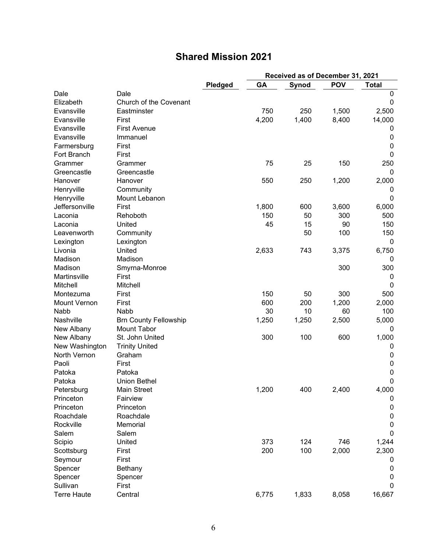# **Shared Mission 2021**

|                     |                              |                | Received as of December 31, 2021 |       |            |              |  |
|---------------------|------------------------------|----------------|----------------------------------|-------|------------|--------------|--|
|                     |                              | <b>Pledged</b> | GA                               | Synod | <b>POV</b> | <b>Total</b> |  |
| Dale                | Dale                         |                |                                  |       |            | 0            |  |
| Elizabeth           | Church of the Covenant       |                |                                  |       |            | 0            |  |
| Evansville          | Eastminster                  |                | 750                              | 250   | 1,500      | 2,500        |  |
| Evansville          | First                        |                | 4,200                            | 1,400 | 8,400      | 14,000       |  |
| Evansville          | <b>First Avenue</b>          |                |                                  |       |            | 0            |  |
| Evansville          | Immanuel                     |                |                                  |       |            | 0            |  |
| Farmersburg         | First                        |                |                                  |       |            | 0            |  |
| Fort Branch         | First                        |                |                                  |       |            | 0            |  |
| Grammer             | Grammer                      |                | 75                               | 25    | 150        | 250          |  |
| Greencastle         | Greencastle                  |                |                                  |       |            | 0            |  |
| Hanover             | Hanover                      |                | 550                              | 250   | 1,200      | 2,000        |  |
| Henryville          | Community                    |                |                                  |       |            | 0            |  |
| Henryville          | Mount Lebanon                |                |                                  |       |            | 0            |  |
| Jeffersonville      | First                        |                | 1,800                            | 600   | 3,600      | 6,000        |  |
| Laconia             | Rehoboth                     |                | 150                              | 50    | 300        | 500          |  |
| Laconia             | United                       |                | 45                               | 15    | 90         | 150          |  |
| Leavenworth         | Community                    |                |                                  | 50    | 100        | 150          |  |
| Lexington           | Lexington                    |                |                                  |       |            | $\mathbf{0}$ |  |
| Livonia             | United                       |                | 2,633                            | 743   | 3,375      | 6,750        |  |
| Madison             | Madison                      |                |                                  |       |            | 0            |  |
| Madison             | Smyrna-Monroe                |                |                                  |       | 300        | 300          |  |
| Martinsville        | First                        |                |                                  |       |            | 0            |  |
| Mitchell            | Mitchell                     |                |                                  |       |            | 0            |  |
| Montezuma           | First                        |                | 150                              | 50    | 300        | 500          |  |
| <b>Mount Vernon</b> | First                        |                | 600                              | 200   | 1,200      | 2,000        |  |
| Nabb                | Nabb                         |                | 30                               | 10    | 60         | 100          |  |
| Nashville           | <b>Brn County Fellowship</b> |                | 1,250                            | 1,250 | 2,500      | 5,000        |  |
| New Albany          | <b>Mount Tabor</b>           |                |                                  |       |            | 0            |  |
| New Albany          | St. John United              |                | 300                              | 100   | 600        | 1,000        |  |
| New Washington      | <b>Trinity United</b>        |                |                                  |       |            | 0            |  |
| North Vernon        | Graham                       |                |                                  |       |            | 0            |  |
| Paoli               | First                        |                |                                  |       |            | 0            |  |
| Patoka              | Patoka                       |                |                                  |       |            | 0            |  |
| Patoka              | <b>Union Bethel</b>          |                |                                  |       |            | 0            |  |
| Petersburg          | <b>Main Street</b>           |                | 1,200                            | 400   | 2,400      | 4,000        |  |
| Princeton           | Fairview                     |                |                                  |       |            | 0            |  |
| Princeton           | Princeton                    |                |                                  |       |            | 0            |  |
| Roachdale           | Roachdale                    |                |                                  |       |            | 0            |  |
| Rockville           | Memorial                     |                |                                  |       |            | 0            |  |
| Salem               | Salem                        |                |                                  |       |            | 0            |  |
| Scipio              | United                       |                | 373                              | 124   | 746        | 1,244        |  |
| Scottsburg          | First                        |                | 200                              | 100   | 2,000      | 2,300        |  |
| Seymour             | First                        |                |                                  |       |            | U            |  |
| Spencer             | <b>Bethany</b>               |                |                                  |       |            | 0            |  |
| Spencer             | Spencer                      |                |                                  |       |            | 0            |  |
| Sullivan            | First                        |                |                                  |       |            | 0            |  |
| <b>Terre Haute</b>  | Central                      |                | 6,775                            | 1,833 | 8,058      | 16,667       |  |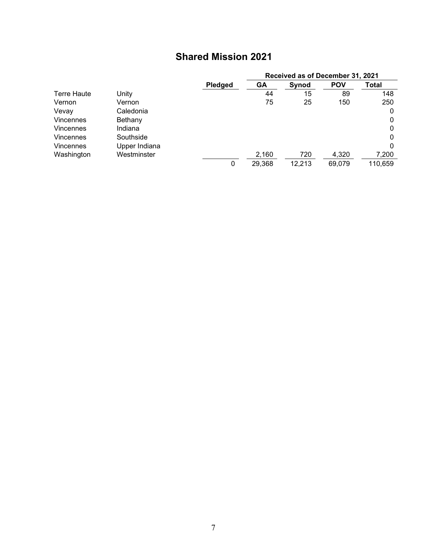# **Shared Mission 2021**

|                  |               |                | Received as of December 31, 2021 |        |            |         |
|------------------|---------------|----------------|----------------------------------|--------|------------|---------|
|                  |               | <b>Pledged</b> | <b>GA</b>                        | Synod  | <b>POV</b> | Total   |
| Terre Haute      | Unity         |                | 44                               | 15     | 89         | 148     |
| Vernon           | Vernon        |                | 75                               | 25     | 150        | 250     |
| Vevay            | Caledonia     |                |                                  |        |            | 0       |
| Vincennes        | Bethany       |                |                                  |        |            | 0       |
| <b>Vincennes</b> | Indiana       |                |                                  |        |            | 0       |
| <b>Vincennes</b> | Southside     |                |                                  |        |            | 0       |
| <b>Vincennes</b> | Upper Indiana |                |                                  |        |            | 0       |
| Washington       | Westminster   |                | 2,160                            | 720    | 4,320      | 7,200   |
|                  |               | 0              | 29,368                           | 12,213 | 69,079     | 110,659 |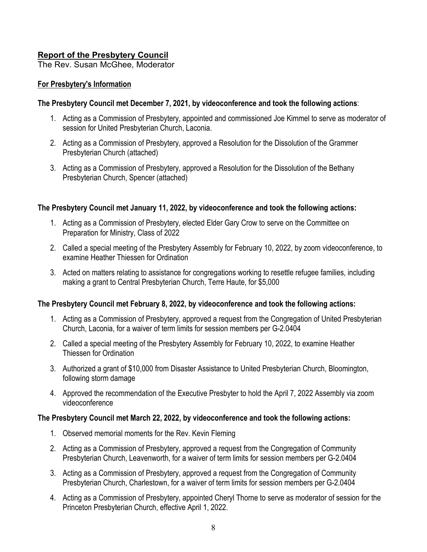## **Report of the Presbytery Council**

The Rev. Susan McGhee, Moderator

## **For Presbytery's Information**

## **The Presbytery Council met December 7, 2021, by videoconference and took the following actions**:

- 1. Acting as a Commission of Presbytery, appointed and commissioned Joe Kimmel to serve as moderator of session for United Presbyterian Church, Laconia.
- 2. Acting as a Commission of Presbytery, approved a Resolution for the Dissolution of the Grammer Presbyterian Church (attached)
- 3. Acting as a Commission of Presbytery, approved a Resolution for the Dissolution of the Bethany Presbyterian Church, Spencer (attached)

## **The Presbytery Council met January 11, 2022, by videoconference and took the following actions:**

- 1. Acting as a Commission of Presbytery, elected Elder Gary Crow to serve on the Committee on Preparation for Ministry, Class of 2022
- 2. Called a special meeting of the Presbytery Assembly for February 10, 2022, by zoom videoconference, to examine Heather Thiessen for Ordination
- 3. Acted on matters relating to assistance for congregations working to resettle refugee families, including making a grant to Central Presbyterian Church, Terre Haute, for \$5,000

## **The Presbytery Council met February 8, 2022, by videoconference and took the following actions:**

- 1. Acting as a Commission of Presbytery, approved a request from the Congregation of United Presbyterian Church, Laconia, for a waiver of term limits for session members per G-2.0404
- 2. Called a special meeting of the Presbytery Assembly for February 10, 2022, to examine Heather Thiessen for Ordination
- 3. Authorized a grant of \$10,000 from Disaster Assistance to United Presbyterian Church, Bloomington, following storm damage
- 4. Approved the recommendation of the Executive Presbyter to hold the April 7, 2022 Assembly via zoom videoconference

### **The Presbytery Council met March 22, 2022, by videoconference and took the following actions:**

- 1. Observed memorial moments for the Rev. Kevin Fleming
- 2. Acting as a Commission of Presbytery, approved a request from the Congregation of Community Presbyterian Church, Leavenworth, for a waiver of term limits for session members per G-2.0404
- 3. Acting as a Commission of Presbytery, approved a request from the Congregation of Community Presbyterian Church, Charlestown, for a waiver of term limits for session members per G-2.0404
- 4. Acting as a Commission of Presbytery, appointed Cheryl Thorne to serve as moderator of session for the Princeton Presbyterian Church, effective April 1, 2022.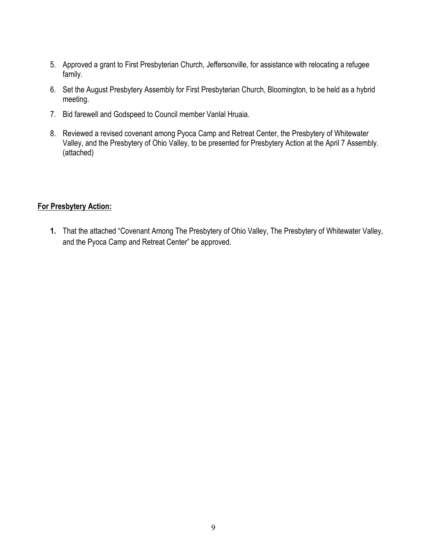- 5. Approved a grant to First Presbyterian Church, Jeffersonville, for assistance with relocating a refugee family.
- 6. Set the August Presbytery Assembly for First Presbyterian Church, Bloomington, to be held as a hybrid meeting.
- 7. Bid farewell and Godspeed to Council member Vanlal Hruaia.
- 8. Reviewed a revised covenant among Pyoca Camp and Retreat Center, the Presbytery of Whitewater Valley, and the Presbytery of Ohio Valley, to be presented for Presbytery Action at the April 7 Assembly. (attached)

## **For Presbytery Action:**

**1.** That the attached "Covenant Among The Presbytery of Ohio Valley, The Presbytery of Whitewater Valley, and the Pyoca Camp and Retreat Center" be approved.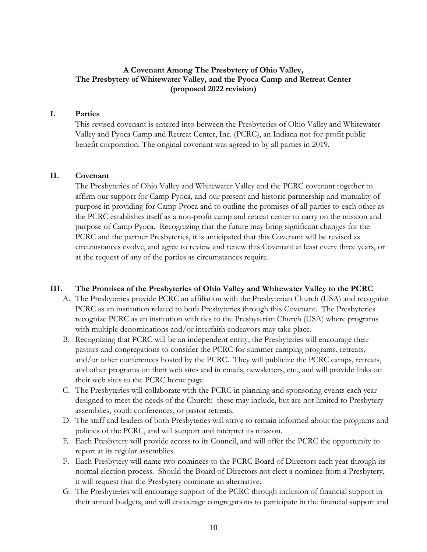## **A Covenant Among The Presbytery of Ohio Valley, The Presbytery of Whitewater Valley, and the Pyoca Camp and Retreat Center (proposed 2022 revision)**

### **I. Parties**

This revised covenant is entered into between the Presbyteries of Ohio Valley and Whitewater Valley and Pyoca Camp and Retreat Center, Inc. (PCRC), an Indiana not-for-profit public benefit corporation. The original covenant was agreed to by all parties in 2019.

#### **II. Covenant**

The Presbyteries of Ohio Valley and Whitewater Valley and the PCRC covenant together to affirm our support for Camp Pyoca, and our present and historic partnership and mutuality of purpose in providing for Camp Pyoca and to outline the promises of all parties to each other as the PCRC establishes itself as a non-profit camp and retreat center to carry on the mission and purpose of Camp Pyoca. Recognizing that the future may bring significant changes for the PCRC and the partner Presbyteries, it is anticipated that this Covenant will be revised as circumstances evolve, and agree to review and renew this Covenant at least every three years, or at the request of any of the parties as circumstances require.

#### **III. The Promises of the Presbyteries of Ohio Valley and Whitewater Valley to the PCRC**

- A. The Presbyteries provide PCRC an affiliation with the Presbyterian Church (USA) and recognize PCRC as an institution related to both Presbyteries through this Covenant. The Presbyteries recognize PCRC as an institution with ties to the Presbyterian Church (USA) where programs with multiple denominations and/or interfaith endeavors may take place.
- B. Recognizing that PCRC will be an independent entity, the Presbyteries will encourage their pastors and congregations to consider the PCRC for summer camping programs, retreats, and/or other conferences hosted by the PCRC. They will publicize the PCRC camps, retreats, and other programs on their web sites and in emails, newsletters, etc., and will provide links on their web sites to the PCRC home page.
- C. The Presbyteries will collaborate with the PCRC in planning and sponsoring events each year designed to meet the needs of the Church: these may include, but are not limited to Presbytery assemblies, youth conferences, or pastor retreats.
- D. The staff and leaders of both Presbyteries will strive to remain informed about the programs and policies of the PCRC, and will support and interpret its mission.
- E. Each Presbytery will provide access to its Council, and will offer the PCRC the opportunity to report at its regular assemblies.
- F. Each Presbytery will name two nominees to the PCRC Board of Directors each year through its normal election process. Should the Board of Directors not elect a nominee from a Presbytery, it will request that the Presbytery nominate an alternative.
- G. The Presbyteries will encourage support of the PCRC through inclusion of financial support in their annual budgets, and will encourage congregations to participate in the financial support and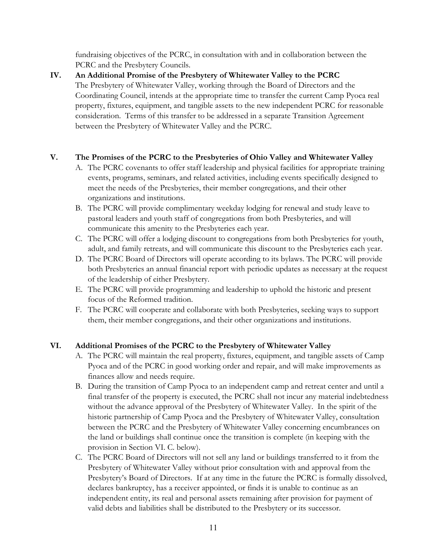fundraising objectives of the PCRC, in consultation with and in collaboration between the PCRC and the Presbytery Councils.

**IV. An Additional Promise of the Presbytery of Whitewater Valley to the PCRC** The Presbytery of Whitewater Valley, working through the Board of Directors and the Coordinating Council, intends at the appropriate time to transfer the current Camp Pyoca real property, fixtures, equipment, and tangible assets to the new independent PCRC for reasonable consideration. Terms of this transfer to be addressed in a separate Transition Agreement between the Presbytery of Whitewater Valley and the PCRC.

## **V. The Promises of the PCRC to the Presbyteries of Ohio Valley and Whitewater Valley**

- A. The PCRC covenants to offer staff leadership and physical facilities for appropriate training events, programs, seminars, and related activities, including events specifically designed to meet the needs of the Presbyteries, their member congregations, and their other organizations and institutions.
- B. The PCRC will provide complimentary weekday lodging for renewal and study leave to pastoral leaders and youth staff of congregations from both Presbyteries, and will communicate this amenity to the Presbyteries each year.
- C. The PCRC will offer a lodging discount to congregations from both Presbyteries for youth, adult, and family retreats, and will communicate this discount to the Presbyteries each year.
- D. The PCRC Board of Directors will operate according to its bylaws. The PCRC will provide both Presbyteries an annual financial report with periodic updates as necessary at the request of the leadership of either Presbytery.
- E. The PCRC will provide programming and leadership to uphold the historic and present focus of the Reformed tradition.
- F. The PCRC will cooperate and collaborate with both Presbyteries, seeking ways to support them, their member congregations, and their other organizations and institutions.

## **VI. Additional Promises of the PCRC to the Presbytery of Whitewater Valley**

- A. The PCRC will maintain the real property, fixtures, equipment, and tangible assets of Camp Pyoca and of the PCRC in good working order and repair, and will make improvements as finances allow and needs require.
- B. During the transition of Camp Pyoca to an independent camp and retreat center and until a final transfer of the property is executed, the PCRC shall not incur any material indebtedness without the advance approval of the Presbytery of Whitewater Valley. In the spirit of the historic partnership of Camp Pyoca and the Presbytery of Whitewater Valley, consultation between the PCRC and the Presbytery of Whitewater Valley concerning encumbrances on the land or buildings shall continue once the transition is complete (in keeping with the provision in Section VI. C. below).
- C. The PCRC Board of Directors will not sell any land or buildings transferred to it from the Presbytery of Whitewater Valley without prior consultation with and approval from the Presbytery's Board of Directors. If at any time in the future the PCRC is formally dissolved, declares bankruptcy, has a receiver appointed, or finds it is unable to continue as an independent entity, its real and personal assets remaining after provision for payment of valid debts and liabilities shall be distributed to the Presbytery or its successor.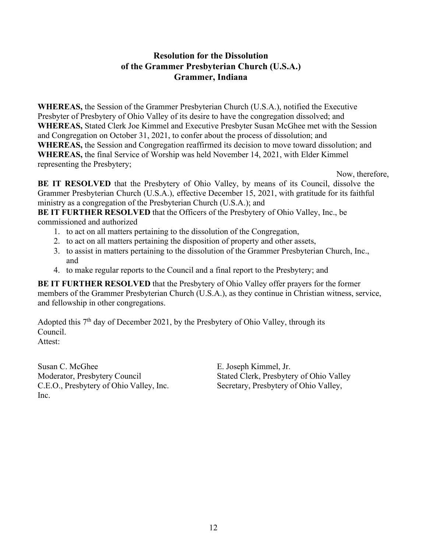## **Resolution for the Dissolution of the Grammer Presbyterian Church (U.S.A.) Grammer, Indiana**

**WHEREAS,** the Session of the Grammer Presbyterian Church (U.S.A.), notified the Executive Presbyter of Presbytery of Ohio Valley of its desire to have the congregation dissolved; and **WHEREAS,** Stated Clerk Joe Kimmel and Executive Presbyter Susan McGhee met with the Session and Congregation on October 31, 2021, to confer about the process of dissolution; and **WHEREAS,** the Session and Congregation reaffirmed its decision to move toward dissolution; and **WHEREAS,** the final Service of Worship was held November 14, 2021, with Elder Kimmel representing the Presbytery;

Now, therefore,

**BE IT RESOLVED** that the Presbytery of Ohio Valley, by means of its Council, dissolve the Grammer Presbyterian Church (U.S.A.), effective December 15, 2021, with gratitude for its faithful ministry as a congregation of the Presbyterian Church (U.S.A.); and

**BE IT FURTHER RESOLVED** that the Officers of the Presbytery of Ohio Valley, Inc., be commissioned and authorized

- 1. to act on all matters pertaining to the dissolution of the Congregation,
- 2. to act on all matters pertaining the disposition of property and other assets,
- 3. to assist in matters pertaining to the dissolution of the Grammer Presbyterian Church, Inc., and
- 4. to make regular reports to the Council and a final report to the Presbytery; and

**BE IT FURTHER RESOLVED** that the Presbytery of Ohio Valley offer prayers for the former members of the Grammer Presbyterian Church (U.S.A.), as they continue in Christian witness, service, and fellowship in other congregations.

Adopted this 7<sup>th</sup> day of December 2021, by the Presbytery of Ohio Valley, through its Council. Attest:

Susan C. McGhee E. Joseph Kimmel, Jr. C.E.O., Presbytery of Ohio Valley, Inc. Secretary, Presbytery of Ohio Valley, Inc.

Moderator, Presbytery Council Stated Clerk, Presbytery of Ohio Valley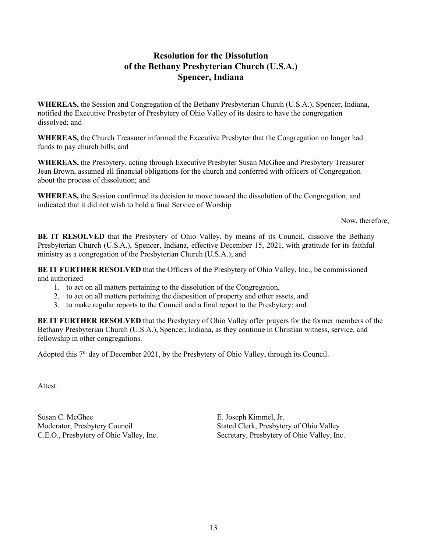## **Resolution for the Dissolution of the Bethany Presbyterian Church (U.S.A.) Spencer, Indiana**

**WHEREAS,** the Session and Congregation of the Bethany Presbyterian Church (U.S.A.), Spencer, Indiana, notified the Executive Presbyter of Presbytery of Ohio Valley of its desire to have the congregation dissolved; and

**WHEREAS,** the Church Treasurer informed the Executive Presbyter that the Congregation no longer had funds to pay church bills; and

**WHEREAS,** the Presbytery, acting through Executive Presbyter Susan McGhee and Presbytery Treasurer Jean Brown, assumed all financial obligations for the church and conferred with officers of Congregation about the process of dissolution; and

**WHEREAS,** the Session confirmed its decision to move toward the dissolution of the Congregation, and indicated that it did not wish to hold a final Service of Worship

Now, therefore,

**BE IT RESOLVED** that the Presbytery of Ohio Valley, by means of its Council, dissolve the Bethany Presbyterian Church (U.S.A.), Spencer, Indiana, effective December 15, 2021, with gratitude for its faithful ministry as a congregation of the Presbyterian Church (U.S.A.); and

**BE IT FURTHER RESOLVED** that the Officers of the Presbytery of Ohio Valley, Inc., be commissioned and authorized

- 1. to act on all matters pertaining to the dissolution of the Congregation,
- 2. to act on all matters pertaining the disposition of property and other assets, and
- 3. to make regular reports to the Council and a final report to the Presbytery; and

**BE IT FURTHER RESOLVED** that the Presbytery of Ohio Valley offer prayers for the former members of the Bethany Presbyterian Church (U.S.A.), Spencer, Indiana, as they continue in Christian witness, service, and fellowship in other congregations.

Adopted this 7<sup>th</sup> day of December 2021, by the Presbytery of Ohio Valley, through its Council.

Attest:

Susan C. McGhee E. Joseph Kimmel, Jr.

Moderator, Presbytery Council Stated Clerk, Presbytery of Ohio Valley C.E.O., Presbytery of Ohio Valley, Inc. Secretary, Presbytery of Ohio Valley, Inc.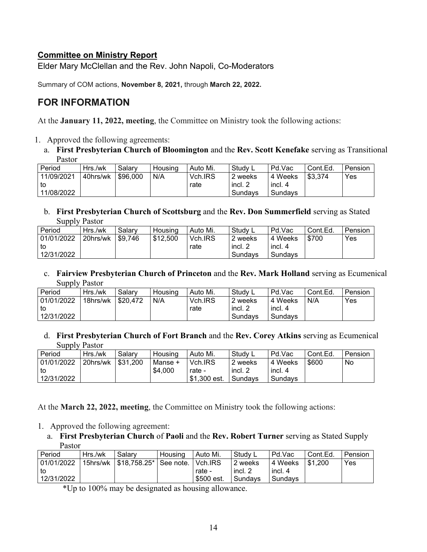## **Committee on Ministry Report**

Elder Mary McClellan and the Rev. John Napoli, Co-Moderators

Summary of COM actions, **November 8, 2021,** through **March 22, 2022.**

# **FOR INFORMATION**

At the **January 11, 2022, meeting**, the Committee on Ministry took the following actions:

- 1. Approved the following agreements:
	- a. **First Presbyterian Church of Bloomington** and the **Rev. Scott Kenefake** serving as Transitional Pastor

| Period     | Hrs./wk  | Salary   | Housing | Auto Mi. | ⊟ Study ∟ | Pd.Vac  | Cont.Ed. | Pension |
|------------|----------|----------|---------|----------|-----------|---------|----------|---------|
| 11/09/2021 | 40hrs/wk | \$96,000 | N/A     | Vch.IRS  | 2 weeks   | 4 Weeks | \$3.374  | Yes     |
| l to       |          |          |         | rate     | incl. 2   | incl. 4 |          |         |
| 11/08/2022 |          |          |         |          | Sundavs   | Sundavs |          |         |

b. **First Presbyterian Church of Scottsburg** and the **Rev. Don Summerfield** serving as Stated Supply Pastor

| Period     | Hrs./wk  | Salary  | Housing  | Auto Mi. | Study ∟ | Pd.Vac  | Cont.Ed. | Pension |
|------------|----------|---------|----------|----------|---------|---------|----------|---------|
| 01/01/2022 | 20hrs/wk | \$9.746 | \$12,500 | Vch.IRS  | 2 weeks | 4 Weeks | \$700    | Yes     |
| l to       |          |         |          | rate     | incl. 2 | incl. 4 |          |         |
| 12/31/2022 |          |         |          |          | Sundavs | Sundavs |          |         |

c. **Fairview Presbyterian Church of Princeton** and the **Rev. Mark Holland** serving as Ecumenical Supply Pastor

| Period     | Hrs./wk  | Salary     | Housing | Auto Mi. | Study L | Pd.Vac  | Cont.Ed. | Pension |
|------------|----------|------------|---------|----------|---------|---------|----------|---------|
| 01/01/2022 | 18hrs/wk | l \$20.472 | N/A     | Vch.IRS  | 2 weeks | 4 Weeks | N/A      | Yes     |
| to         |          |            |         | rate     | incl. 2 | incl. 4 |          |         |
| 12/31/2022 |          |            |         |          | Sundavs | Sundavs |          |         |

d. **First Presbyterian Church of Fort Branch** and the **Rev. Corey Atkins** serving as Ecumenical Supply Pastor

| Period     | Hrs./wk  | Salarv   | Housing | Auto Mi.     | Study L | Pd.Vac  | Cont.Ed. | Pension |
|------------|----------|----------|---------|--------------|---------|---------|----------|---------|
| 01/01/2022 | 20hrs/wk | \$31,200 | Manse + | Vch.IRS      | 2 weeks | 4 Weeks | \$600    | No      |
| to         |          |          | \$4.000 | rate -       | incl. 2 | incl. 4 |          |         |
| 12/31/2022 |          |          |         | \$1,300 est. | Sundavs | Sundavs |          |         |

At the **March 22, 2022, meeting**, the Committee on Ministry took the following actions:

- 1. Approved the following agreement:
	- a. **First Presbyterian Church** of **Paoli** and the **Rev. Robert Turner** serving as Stated Supply Pastor

| Period     | Hrs./wk | Salary                              | Housing | Auto Mi.   | Study L | Pd.Vac  | Cont.Ed.  | Pension |
|------------|---------|-------------------------------------|---------|------------|---------|---------|-----------|---------|
| 01/01/2022 |         | 15hrs/wk   \$18,758.25*   See note. |         | Vch.IRS    | 2 weeks | 4 Weeks | l \$1.200 | Yes     |
| to         |         |                                     |         | rate -     | incl. 2 | incl. 4 |           |         |
| 12/31/2022 |         |                                     |         | \$500 est. | Sundavs | Sundavs |           |         |

\*Up to 100% may be designated as housing allowance.